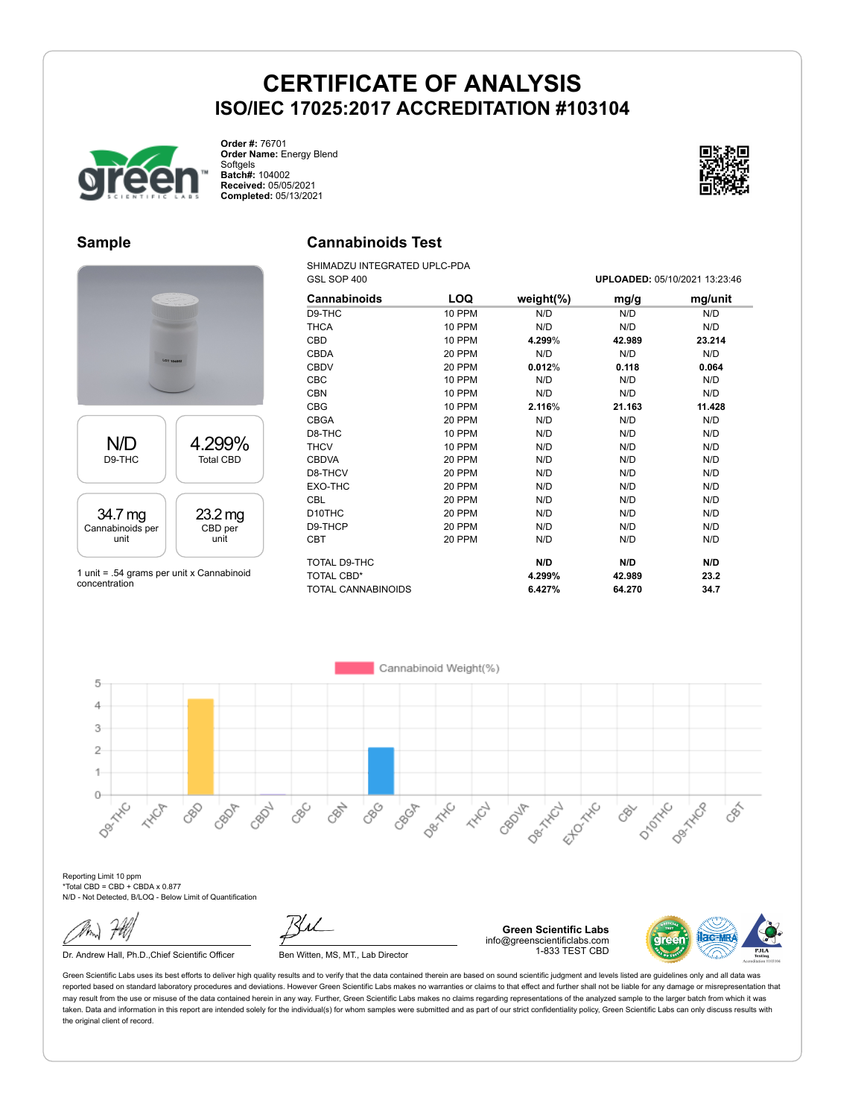

**Order #:** 76701 **Order Name:** Energy Blend Softgels **Batch#:** 104002 **Received:** 05/05/2021 **Completed:** 05/13/2021



#### **Sample**



1 unit = .54 grams per unit x Cannabinoid concentration

#### **Cannabinoids Test**

SHIMADZU INTEGRATED UPLC-PDA GSL SOP 400 **UPLOADED:** 05/10/2021 13:23:46

| Cannabinoids              | LOQ    | weight(%) | mg/g   | mg/unit |
|---------------------------|--------|-----------|--------|---------|
| D9-THC                    | 10 PPM | N/D       | N/D    | N/D     |
| THCA                      | 10 PPM | N/D       | N/D    | N/D     |
| CBD                       | 10 PPM | 4.299%    | 42.989 | 23.214  |
| <b>CBDA</b>               | 20 PPM | N/D       | N/D    | N/D     |
| <b>CBDV</b>               | 20 PPM | 0.012%    | 0.118  | 0.064   |
| <b>CBC</b>                | 10 PPM | N/D       | N/D    | N/D     |
| <b>CBN</b>                | 10 PPM | N/D       | N/D    | N/D     |
| <b>CBG</b>                | 10 PPM | 2.116%    | 21.163 | 11.428  |
| <b>CBGA</b>               | 20 PPM | N/D       | N/D    | N/D     |
| D8-THC                    | 10 PPM | N/D       | N/D    | N/D     |
| <b>THCV</b>               | 10 PPM | N/D       | N/D    | N/D     |
| <b>CBDVA</b>              | 20 PPM | N/D       | N/D    | N/D     |
| D8-THCV                   | 20 PPM | N/D       | N/D    | N/D     |
| EXO-THC                   | 20 PPM | N/D       | N/D    | N/D     |
| <b>CBL</b>                | 20 PPM | N/D       | N/D    | N/D     |
| D <sub>10</sub> THC       | 20 PPM | N/D       | N/D    | N/D     |
| D9-THCP                   | 20 PPM | N/D       | N/D    | N/D     |
| <b>CBT</b>                | 20 PPM | N/D       | N/D    | N/D     |
| TOTAL D9-THC              |        | N/D       | N/D    | N/D     |
| TOTAL CBD*                |        | 4.299%    | 42.989 | 23.2    |
| <b>TOTAL CANNABINOIDS</b> |        | 6.427%    | 64.270 | 34.7    |

Cannabinoid Weight(%) 5  $\overline{4}$ 3  $\overline{2}$ 1  $\circ$ CBG Decimental Ello<sup>xxto</sup> D-10-T-10 Dentrica Dex Hic CBC CBN CBOJA **HAVE** 88 CBON **HAD** CBOP Dec-125C CRY CBGA CBS

Reporting Limit 10 ppm \*Total CBD = CBD + CBDA x 0.877 N/D - Not Detected, B/LOQ - Below Limit of Quantification

Dr. Andrew Hall, Ph.D., Chief Scientific Officer Ben Witten, MS, MT., Lab Director

**Green Scientific Labs** info@greenscientificlabs.com 1-833 TEST CBD

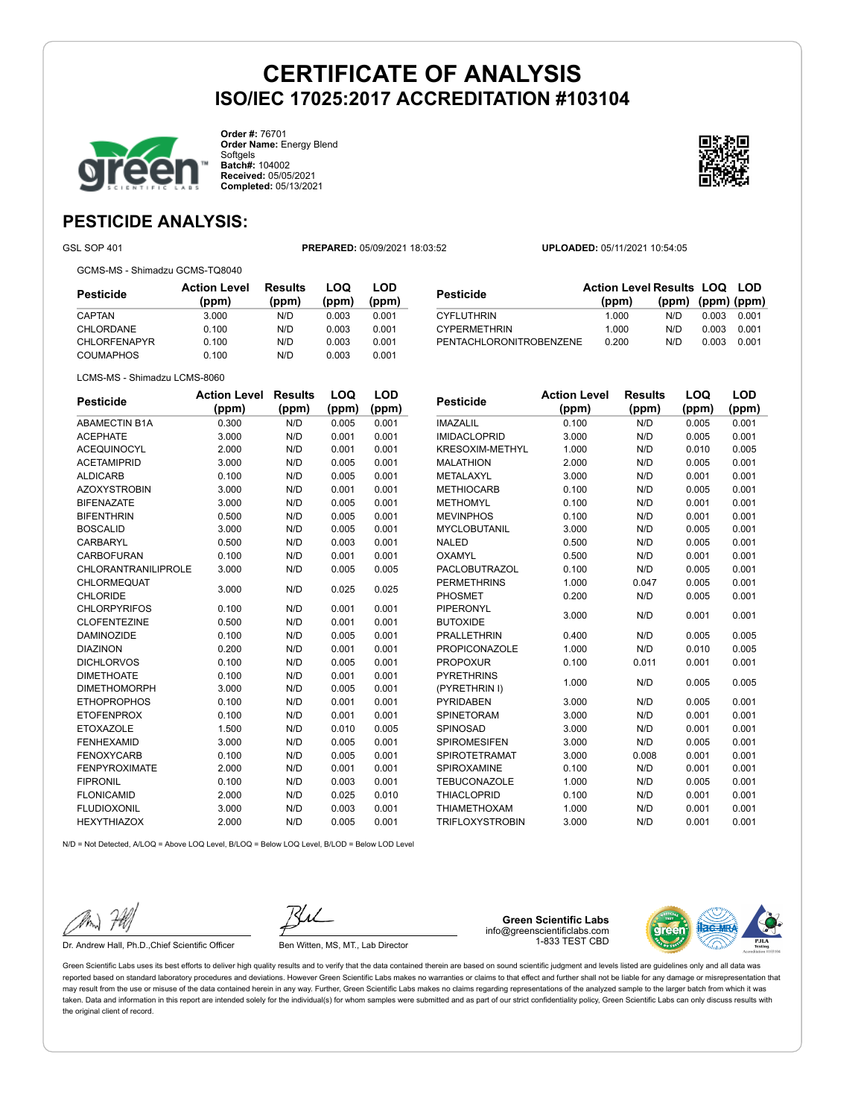

**Order #:** 76701 **Order Name:** Energy Blend Softgels **Batch#:** 104002 **Received:** 05/05/2021 **Completed:** 05/13/2021



**LOQ**

**LOD**

### **PESTICIDE ANALYSIS:**

GSL SOP 401 **PREPARED:** 05/09/2021 18:03:52 **UPLOADED:** 05/11/2021 10:54:05

GCMS-MS - Shimadzu GCMS-TQ8040

**Pesticide Action Level (ppm) Results (ppm) LOQ (ppm) LOD (ppm)** CAPTAN 3.000 N/D 0.003 0.001 CHLORDANE 0.100 N/D 0.003 0.001 CHLORFENAPYR 0.100 N/D 0.003 0.001 COUMAPHOS 0.100 N/D 0.003 0.001

| <b>Pesticide</b>        | <b>Action Level Results LOQ LOD</b> |                         |       |       |
|-------------------------|-------------------------------------|-------------------------|-------|-------|
|                         | (ppm)                               | $(ppm)$ $(ppm)$ $(ppm)$ |       |       |
| <b>CYFLUTHRIN</b>       | 1.000                               | N/D.                    | 0.003 | 0.001 |
| <b>CYPERMETHRIN</b>     | 1.000                               | N/D                     | 0.003 | 0.001 |
| PENTACHLORONITROBENZENE | 0.200                               | N/D                     | 0.003 | 0.001 |

LCMS-MS - Shimadzu LCMS-8060

| <b>Pesticide</b>           | <b>Action Level</b> | <b>Results</b> | LOQ   | LOD   |
|----------------------------|---------------------|----------------|-------|-------|
|                            | (ppm)               | (ppm)          | (ppm) | (ppm) |
| <b>ABAMECTIN B1A</b>       | 0.300               | N/D            | 0.005 | 0.001 |
| <b>ACEPHATE</b>            | 3.000               | N/D            | 0.001 | 0.001 |
| <b>ACEQUINOCYL</b>         | 2.000               | N/D            | 0.001 | 0.001 |
| <b>ACETAMIPRID</b>         | 3.000               | N/D            | 0.005 | 0.001 |
| <b>ALDICARB</b>            | 0.100               | N/D            | 0.005 | 0.001 |
| <b>AZOXYSTROBIN</b>        | 3.000               | N/D            | 0.001 | 0.001 |
| <b>BIFENAZATE</b>          | 3.000               | N/D            | 0.005 | 0.001 |
| <b>BIFENTHRIN</b>          | 0.500               | N/D            | 0.005 | 0.001 |
| <b>BOSCALID</b>            | 3.000               | N/D            | 0.005 | 0.001 |
| <b>CARBARYL</b>            | 0.500               | N/D            | 0.003 | 0.001 |
| <b>CARBOFURAN</b>          | 0.100               | N/D            | 0.001 | 0.001 |
| <b>CHLORANTRANILIPROLE</b> | 3.000               | N/D            | 0.005 | 0.005 |
| CHLORMEQUAT                | 3.000               | N/D            | 0.025 | 0.025 |
| <b>CHLORIDE</b>            |                     |                |       |       |
| <b>CHLORPYRIFOS</b>        | 0.100               | N/D            | 0.001 | 0.001 |
| <b>CLOFENTEZINE</b>        | 0.500               | N/D            | 0.001 | 0.001 |
| <b>DAMINOZIDE</b>          | 0.100               | N/D            | 0.005 | 0.001 |
| <b>DIAZINON</b>            | 0.200               | N/D            | 0.001 | 0.001 |
| <b>DICHLORVOS</b>          | 0.100               | N/D            | 0.005 | 0.001 |
| <b>DIMETHOATE</b>          | 0.100               | N/D            | 0.001 | 0.001 |
| <b>DIMETHOMORPH</b>        | 3.000               | N/D            | 0.005 | 0.001 |
| <b>ETHOPROPHOS</b>         | 0.100               | N/D            | 0.001 | 0.001 |
| <b>ETOFENPROX</b>          | 0.100               | N/D            | 0.001 | 0.001 |
| <b>ETOXAZOLE</b>           | 1.500               | N/D            | 0.010 | 0.005 |
| <b>FENHEXAMID</b>          | 3.000               | N/D            | 0.005 | 0.001 |
| <b>FENOXYCARB</b>          | 0.100               | N/D            | 0.005 | 0.001 |
| <b>FENPYROXIMATE</b>       | 2.000               | N/D            | 0.001 | 0.001 |
| <b>FIPRONIL</b>            | 0.100               | N/D            | 0.003 | 0.001 |
| <b>FLONICAMID</b>          | 2.000               | N/D            | 0.025 | 0.010 |
| <b>FLUDIOXONIL</b>         | 3.000               | N/D            | 0.003 | 0.001 |
| <b>HEXYTHIAZOX</b>         | 2.000               | N/D            | 0.005 | 0.001 |

| <b>Pesticide</b>       | <b>Action Level</b> | <b>Results</b> | LOQ   | LOD   |
|------------------------|---------------------|----------------|-------|-------|
|                        | (ppm)               | (ppm)          | (ppm) | (ppm) |
| <b>IMAZALIL</b>        | 0.100               | N/D            | 0.005 | 0.001 |
| <b>IMIDACLOPRID</b>    | 3.000               | N/D            | 0.005 | 0.001 |
| <b>KRESOXIM-METHYL</b> | 1.000               | N/D            | 0.010 | 0.005 |
| <b>MALATHION</b>       | 2.000               | N/D            | 0.005 | 0.001 |
| METALAXYL              | 3.000               | N/D            | 0.001 | 0.001 |
| <b>METHIOCARB</b>      | 0.100               | N/D            | 0.005 | 0.001 |
| <b>METHOMYL</b>        | 0.100               | N/D            | 0.001 | 0.001 |
| <b>MEVINPHOS</b>       | 0.100               | N/D            | 0.001 | 0.001 |
| <b>MYCLOBUTANIL</b>    | 3.000               | N/D            | 0.005 | 0.001 |
| <b>NALED</b>           | 0.500               | N/D            | 0.005 | 0.001 |
| OXAMYL                 | 0.500               | N/D            | 0.001 | 0.001 |
| PACLOBUTRAZOL          | 0.100               | N/D            | 0.005 | 0.001 |
| <b>PERMETHRINS</b>     | 1.000               | 0.047          | 0.005 | 0.001 |
| <b>PHOSMET</b>         | 0.200               | N/D            | 0.005 | 0.001 |
| <b>PIPERONYL</b>       |                     |                |       |       |
| <b>BUTOXIDE</b>        | 3.000               | N/D            | 0.001 | 0.001 |
| <b>PRALLETHRIN</b>     | 0.400               | N/D            | 0.005 | 0.005 |
| <b>PROPICONAZOLE</b>   | 1.000               | N/D            | 0.010 | 0.005 |
| <b>PROPOXUR</b>        | 0.100               | 0.011          | 0.001 | 0.001 |
| <b>PYRETHRINS</b>      |                     | N/D            | 0.005 | 0.005 |
| (PYRETHRIN I)          | 1.000               |                |       |       |
| <b>PYRIDABEN</b>       | 3.000               | N/D            | 0.005 | 0.001 |
| SPINETORAM             | 3.000               | N/D            | 0.001 | 0.001 |
| SPINOSAD               | 3.000               | N/D            | 0.001 | 0.001 |
| <b>SPIROMESIFEN</b>    | 3.000               | N/D            | 0.005 | 0.001 |
| <b>SPIROTETRAMAT</b>   | 3.000               | 0.008          | 0.001 | 0.001 |
| SPIROXAMINE            | 0.100               | N/D            | 0.001 | 0.001 |
| <b>TEBUCONAZOLE</b>    | 1.000               | N/D            | 0.005 | 0.001 |
| <b>THIACLOPRID</b>     | 0.100               | N/D            | 0.001 | 0.001 |
| <b>THIAMETHOXAM</b>    | 1.000               | N/D            | 0.001 | 0.001 |

TRIFLOXYSTROBIN 3.000 N/D 0.001 0.001

N/D = Not Detected, A/LOQ = Above LOQ Level, B/LOQ = Below LOQ Level, B/LOD = Below LOD Level

Dr. Andrew Hall, Ph.D., Chief Scientific Officer Ben Witten, MS, MT., Lab Director

**Green Scientific Labs** info@greenscientificlabs.com 1-833 TEST CBD

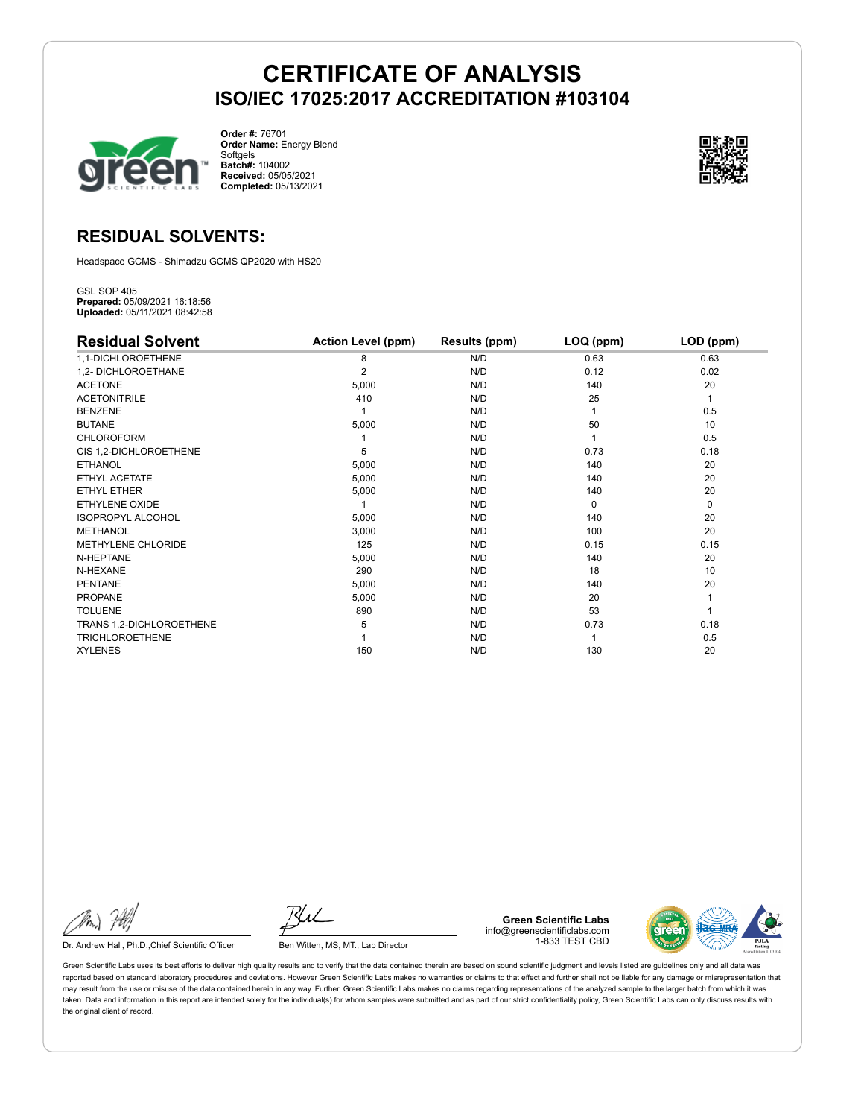

**Order #:** 76701 **Order Name:** Energy Blend Softgels **Batch#:** 104002 **Received:** 05/05/2021 **Completed:** 05/13/2021



### **RESIDUAL SOLVENTS:**

Headspace GCMS - Shimadzu GCMS QP2020 with HS20

GSL SOP 405 **Prepared:** 05/09/2021 16:18:56 **Uploaded:** 05/11/2021 08:42:58

| <b>Residual Solvent</b>   | <b>Action Level (ppm)</b> | Results (ppm) | LOQ (ppm) | LOD (ppm) |
|---------------------------|---------------------------|---------------|-----------|-----------|
| 1,1-DICHLOROETHENE        | 8                         | N/D           | 0.63      | 0.63      |
| 1,2- DICHLOROETHANE       | 2                         | N/D           | 0.12      | 0.02      |
| <b>ACETONE</b>            | 5,000                     | N/D           | 140       | 20        |
| <b>ACETONITRILE</b>       | 410                       | N/D           | 25        | 1         |
| <b>BENZENE</b>            |                           | N/D           |           | 0.5       |
| <b>BUTANE</b>             | 5,000                     | N/D           | 50        | 10        |
| <b>CHLOROFORM</b>         |                           | N/D           |           | 0.5       |
| CIS 1,2-DICHLOROETHENE    | 5                         | N/D           | 0.73      | 0.18      |
| <b>ETHANOL</b>            | 5,000                     | N/D           | 140       | 20        |
| ETHYL ACETATE             | 5,000                     | N/D           | 140       | 20        |
| <b>ETHYL ETHER</b>        | 5,000                     | N/D           | 140       | 20        |
| <b>ETHYLENE OXIDE</b>     |                           | N/D           | $\Omega$  | 0         |
| <b>ISOPROPYL ALCOHOL</b>  | 5,000                     | N/D           | 140       | 20        |
| <b>METHANOL</b>           | 3,000                     | N/D           | 100       | 20        |
| <b>METHYLENE CHLORIDE</b> | 125                       | N/D           | 0.15      | 0.15      |
| N-HEPTANE                 | 5,000                     | N/D           | 140       | 20        |
| N-HEXANE                  | 290                       | N/D           | 18        | 10        |
| <b>PENTANE</b>            | 5,000                     | N/D           | 140       | 20        |
| <b>PROPANE</b>            | 5,000                     | N/D           | 20        |           |
| <b>TOLUENE</b>            | 890                       | N/D           | 53        |           |
| TRANS 1,2-DICHLOROETHENE  | 5                         | N/D           | 0.73      | 0.18      |
| <b>TRICHLOROETHENE</b>    |                           | N/D           |           | 0.5       |
| <b>XYLENES</b>            | 150                       | N/D           | 130       | 20        |

Dr. Andrew Hall, Ph.D., Chief Scientific Officer Ben Witten, MS, MT., Lab Director

**Green Scientific Labs** info@greenscientificlabs.com 1-833 TEST CBD

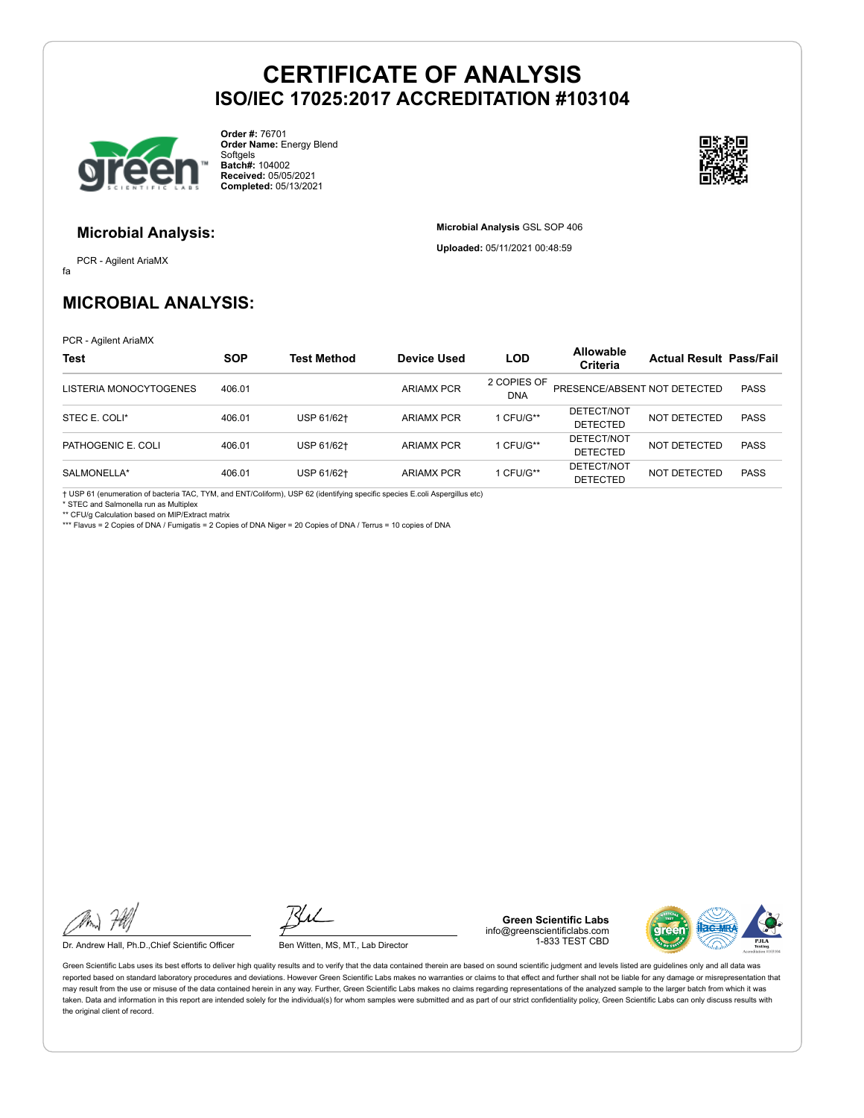

**Order #:** 76701 **Order Name:** Energy Blend Softgels **Batch#:** 104002 **Received:** 05/05/2021 **Completed:** 05/13/2021



#### **Microbial Analysis:**

fa PCR - Agilent AriaMX **Microbial Analysis** GSL SOP 406 **Uploaded:** 05/11/2021 00:48:59

### **MICROBIAL ANALYSIS:**

PCR - Agilent AriaMX

| <b>Test</b>            | <b>SOP</b> | Test Method | Device Used       | <b>LOD</b>                | Allowable<br><b>Criteria</b>  | <b>Actual Result Pass/Fail</b> |             |
|------------------------|------------|-------------|-------------------|---------------------------|-------------------------------|--------------------------------|-------------|
| LISTERIA MONOCYTOGENES | 406.01     |             | <b>ARIAMX PCR</b> | 2 COPIES OF<br><b>DNA</b> | PRESENCE/ABSENT NOT DETECTED  |                                | <b>PASS</b> |
| STEC E. COLI*          | 406.01     | USP 61/62+  | <b>ARIAMX PCR</b> | CFU/G**                   | DETECT/NOT<br><b>DETECTED</b> | NOT DETECTED                   | <b>PASS</b> |
| PATHOGENIC E. COLI     | 406.01     | USP 61/62†  | <b>ARIAMX PCR</b> | CFU/G**                   | DETECT/NOT<br><b>DETECTED</b> | NOT DETECTED                   | <b>PASS</b> |
| SALMONELLA*            | 406.01     | USP 61/62+  | <b>ARIAMX PCR</b> | CFU/G**                   | DETECT/NOT<br><b>DETECTED</b> | NOT DETECTED                   | <b>PASS</b> |

† USP 61 (enumeration of bacteria TAC, TYM, and ENT/Coliform), USP 62 (identifying specific species E.coli Aspergillus etc) \* STEC and Salmonella run as Multiplex

\*\* CFU/g Calculation based on MIP/Extract matrix

\*\*\* Flavus = 2 Copies of DNA / Fumigatis = 2 Copies of DNA Niger = 20 Copies of DNA / Terrus = 10 copies of DNA

Dr. Andrew Hall, Ph.D.,Chief Scientific Officer Ben Witten, MS, MT., Lab Director

**Green Scientific Labs** info@greenscientificlabs.com 1-833 TEST CBD